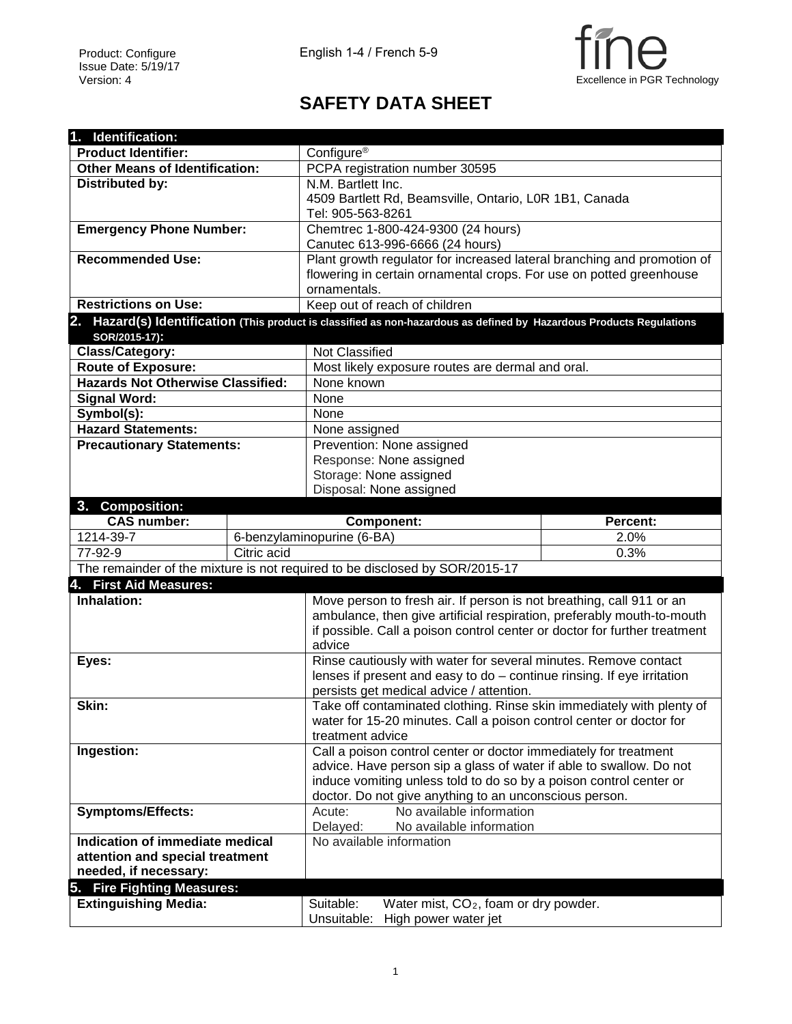

## **SAFETY DATA SHEET**

| 1. Identification:                       |             |                                                                                                                       |          |  |  |
|------------------------------------------|-------------|-----------------------------------------------------------------------------------------------------------------------|----------|--|--|
| <b>Product Identifier:</b>               |             | Configure <sup>®</sup>                                                                                                |          |  |  |
| <b>Other Means of Identification:</b>    |             | PCPA registration number 30595                                                                                        |          |  |  |
| <b>Distributed by:</b>                   |             | N.M. Bartlett Inc.                                                                                                    |          |  |  |
|                                          |             | 4509 Bartlett Rd, Beamsville, Ontario, L0R 1B1, Canada                                                                |          |  |  |
|                                          |             | Tel: 905-563-8261                                                                                                     |          |  |  |
| <b>Emergency Phone Number:</b>           |             | Chemtrec 1-800-424-9300 (24 hours)                                                                                    |          |  |  |
|                                          |             | Canutec 613-996-6666 (24 hours)                                                                                       |          |  |  |
| <b>Recommended Use:</b>                  |             | Plant growth regulator for increased lateral branching and promotion of                                               |          |  |  |
|                                          |             | flowering in certain ornamental crops. For use on potted greenhouse                                                   |          |  |  |
|                                          |             | ornamentals.                                                                                                          |          |  |  |
| <b>Restrictions on Use:</b>              |             | Keep out of reach of children                                                                                         |          |  |  |
| SOR/2015-17):                            |             | 2. Hazard(s) Identification (This product is classified as non-hazardous as defined by Hazardous Products Regulations |          |  |  |
| Class/Category:                          |             | Not Classified                                                                                                        |          |  |  |
| <b>Route of Exposure:</b>                |             | Most likely exposure routes are dermal and oral.                                                                      |          |  |  |
| <b>Hazards Not Otherwise Classified:</b> |             | None known                                                                                                            |          |  |  |
| <b>Signal Word:</b>                      |             | None                                                                                                                  |          |  |  |
| Symbol(s):                               |             | None                                                                                                                  |          |  |  |
| <b>Hazard Statements:</b>                |             | None assigned                                                                                                         |          |  |  |
| <b>Precautionary Statements:</b>         |             | Prevention: None assigned                                                                                             |          |  |  |
|                                          |             | Response: None assigned                                                                                               |          |  |  |
|                                          |             | Storage: None assigned                                                                                                |          |  |  |
|                                          |             | Disposal: None assigned                                                                                               |          |  |  |
| 3. Composition:                          |             |                                                                                                                       |          |  |  |
| <b>CAS number:</b>                       |             | <b>Component:</b>                                                                                                     | Percent: |  |  |
| 1214-39-7                                |             | 6-benzylaminopurine (6-BA)                                                                                            | 2.0%     |  |  |
| 77-92-9                                  | Citric acid | 0.3%                                                                                                                  |          |  |  |
|                                          |             | The remainder of the mixture is not required to be disclosed by SOR/2015-17                                           |          |  |  |
| 4. First Aid Measures:                   |             |                                                                                                                       |          |  |  |
| Inhalation:                              |             | Move person to fresh air. If person is not breathing, call 911 or an                                                  |          |  |  |
|                                          |             | ambulance, then give artificial respiration, preferably mouth-to-mouth                                                |          |  |  |
|                                          |             | if possible. Call a poison control center or doctor for further treatment<br>advice                                   |          |  |  |
| Eyes:                                    |             | Rinse cautiously with water for several minutes. Remove contact                                                       |          |  |  |
|                                          |             | lenses if present and easy to do - continue rinsing. If eye irritation                                                |          |  |  |
|                                          |             | persists get medical advice / attention.                                                                              |          |  |  |
| Skin:                                    |             | Take off contaminated clothing. Rinse skin immediately with plenty of                                                 |          |  |  |
|                                          |             | water for 15-20 minutes. Call a poison control center or doctor for                                                   |          |  |  |
|                                          |             | treatment advice                                                                                                      |          |  |  |
| Ingestion:                               |             | Call a poison control center or doctor immediately for treatment                                                      |          |  |  |
|                                          |             | advice. Have person sip a glass of water if able to swallow. Do not                                                   |          |  |  |
|                                          |             | induce vomiting unless told to do so by a poison control center or                                                    |          |  |  |
|                                          |             | doctor. Do not give anything to an unconscious person.                                                                |          |  |  |
| <b>Symptoms/Effects:</b>                 |             | No available information<br>Acute:                                                                                    |          |  |  |
|                                          |             | Delayed:<br>No available information                                                                                  |          |  |  |
| Indication of immediate medical          |             | No available information                                                                                              |          |  |  |
| attention and special treatment          |             |                                                                                                                       |          |  |  |
| needed, if necessary:                    |             |                                                                                                                       |          |  |  |
| 5. Fire Fighting Measures:               |             |                                                                                                                       |          |  |  |
| <b>Extinguishing Media:</b>              |             | Suitable:<br>Water mist, CO <sub>2</sub> , foam or dry powder.                                                        |          |  |  |
|                                          |             | Unsuitable:<br>High power water jet                                                                                   |          |  |  |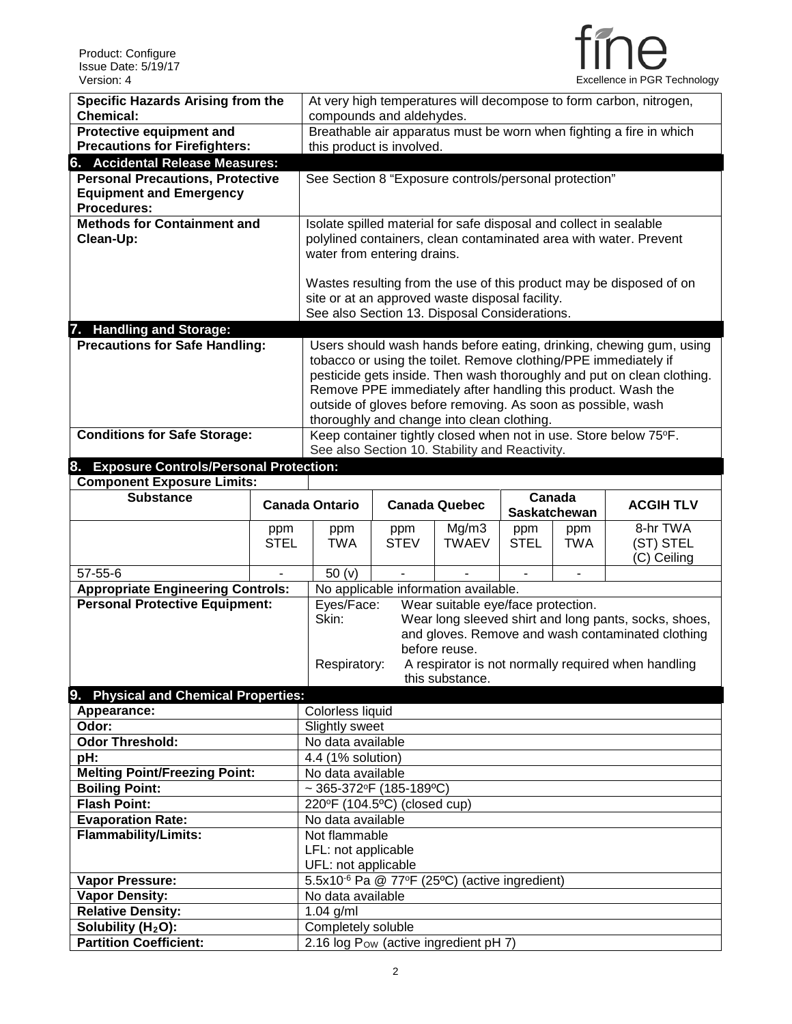

| Version: 4                                          |                | Excellence in PGR Technology                                        |                                                                                                                    |                                                              |              |                          |                                                                        |  |
|-----------------------------------------------------|----------------|---------------------------------------------------------------------|--------------------------------------------------------------------------------------------------------------------|--------------------------------------------------------------|--------------|--------------------------|------------------------------------------------------------------------|--|
| <b>Specific Hazards Arising from the</b>            |                | At very high temperatures will decompose to form carbon, nitrogen,  |                                                                                                                    |                                                              |              |                          |                                                                        |  |
| <b>Chemical:</b>                                    |                | compounds and aldehydes.                                            |                                                                                                                    |                                                              |              |                          |                                                                        |  |
| Protective equipment and                            |                | Breathable air apparatus must be worn when fighting a fire in which |                                                                                                                    |                                                              |              |                          |                                                                        |  |
| <b>Precautions for Firefighters:</b>                |                | this product is involved.                                           |                                                                                                                    |                                                              |              |                          |                                                                        |  |
| 6. Accidental Release Measures:                     |                |                                                                     |                                                                                                                    |                                                              |              |                          |                                                                        |  |
| <b>Personal Precautions, Protective</b>             |                | See Section 8 "Exposure controls/personal protection"               |                                                                                                                    |                                                              |              |                          |                                                                        |  |
| <b>Equipment and Emergency</b>                      |                |                                                                     |                                                                                                                    |                                                              |              |                          |                                                                        |  |
| <b>Procedures:</b>                                  |                |                                                                     |                                                                                                                    |                                                              |              |                          |                                                                        |  |
| <b>Methods for Containment and</b>                  |                | Isolate spilled material for safe disposal and collect in sealable  |                                                                                                                    |                                                              |              |                          |                                                                        |  |
| Clean-Up:                                           |                |                                                                     |                                                                                                                    |                                                              |              |                          | polylined containers, clean contaminated area with water. Prevent      |  |
|                                                     |                | water from entering drains.                                         |                                                                                                                    |                                                              |              |                          |                                                                        |  |
|                                                     |                |                                                                     |                                                                                                                    |                                                              |              |                          |                                                                        |  |
|                                                     |                |                                                                     |                                                                                                                    |                                                              |              |                          | Wastes resulting from the use of this product may be disposed of on    |  |
|                                                     |                | site or at an approved waste disposal facility.                     |                                                                                                                    |                                                              |              |                          |                                                                        |  |
|                                                     |                |                                                                     |                                                                                                                    | See also Section 13. Disposal Considerations.                |              |                          |                                                                        |  |
| 7. Handling and Storage:                            |                |                                                                     |                                                                                                                    |                                                              |              |                          | Users should wash hands before eating, drinking, chewing gum, using    |  |
| <b>Precautions for Safe Handling:</b>               |                |                                                                     |                                                                                                                    |                                                              |              |                          | tobacco or using the toilet. Remove clothing/PPE immediately if        |  |
|                                                     |                |                                                                     |                                                                                                                    |                                                              |              |                          | pesticide gets inside. Then wash thoroughly and put on clean clothing. |  |
|                                                     |                |                                                                     |                                                                                                                    |                                                              |              |                          | Remove PPE immediately after handling this product. Wash the           |  |
|                                                     |                |                                                                     |                                                                                                                    | outside of gloves before removing. As soon as possible, wash |              |                          |                                                                        |  |
|                                                     |                |                                                                     |                                                                                                                    | thoroughly and change into clean clothing.                   |              |                          |                                                                        |  |
| <b>Conditions for Safe Storage:</b>                 |                |                                                                     |                                                                                                                    |                                                              |              |                          |                                                                        |  |
|                                                     |                |                                                                     | Keep container tightly closed when not in use. Store below 75°F.<br>See also Section 10. Stability and Reactivity. |                                                              |              |                          |                                                                        |  |
|                                                     |                |                                                                     |                                                                                                                    |                                                              |              |                          |                                                                        |  |
| 8.<br><b>Exposure Controls/Personal Protection:</b> |                |                                                                     |                                                                                                                    |                                                              |              |                          |                                                                        |  |
| <b>Component Exposure Limits:</b>                   |                |                                                                     |                                                                                                                    |                                                              |              |                          |                                                                        |  |
| <b>Substance</b>                                    |                |                                                                     |                                                                                                                    |                                                              |              | Canada                   |                                                                        |  |
|                                                     |                | <b>Canada Ontario</b>                                               |                                                                                                                    | <b>Canada Quebec</b>                                         |              | <b>Saskatchewan</b>      | <b>ACGIH TLV</b>                                                       |  |
|                                                     | ppm            | ppm                                                                 | ppm                                                                                                                | Mg/m3                                                        | ppm          | ppm                      | 8-hr TWA                                                               |  |
|                                                     | <b>STEL</b>    | <b>TWA</b>                                                          | <b>STEV</b>                                                                                                        | <b>TWAEV</b>                                                 | <b>STEL</b>  | <b>TWA</b>               | (ST) STEL                                                              |  |
|                                                     |                |                                                                     |                                                                                                                    |                                                              |              |                          | (C) Ceiling                                                            |  |
| $57 - 55 - 6$                                       | $\blacksquare$ | 50(y)                                                               |                                                                                                                    |                                                              | $\mathbf{r}$ | $\overline{\phantom{a}}$ |                                                                        |  |
| <b>Appropriate Engineering Controls:</b>            |                |                                                                     |                                                                                                                    | No applicable information available.                         |              |                          |                                                                        |  |
| <b>Personal Protective Equipment:</b>               |                | Eyes/Face:                                                          |                                                                                                                    | Wear suitable eye/face protection.                           |              |                          |                                                                        |  |
|                                                     |                | Skin:                                                               |                                                                                                                    |                                                              |              |                          | Wear long sleeved shirt and long pants, socks, shoes,                  |  |
|                                                     |                |                                                                     |                                                                                                                    |                                                              |              |                          | and gloves. Remove and wash contaminated clothing                      |  |
|                                                     |                |                                                                     |                                                                                                                    | before reuse.                                                |              |                          |                                                                        |  |
|                                                     |                | Respiratory:                                                        |                                                                                                                    |                                                              |              |                          | A respirator is not normally required when handling                    |  |
|                                                     |                |                                                                     |                                                                                                                    | this substance.                                              |              |                          |                                                                        |  |
| 9. Physical and Chemical Properties:                |                |                                                                     |                                                                                                                    |                                                              |              |                          |                                                                        |  |
| Appearance:                                         |                | Colorless liquid                                                    |                                                                                                                    |                                                              |              |                          |                                                                        |  |
| Odor:                                               |                | Slightly sweet                                                      |                                                                                                                    |                                                              |              |                          |                                                                        |  |
| <b>Odor Threshold:</b><br>pH:                       |                | No data available                                                   |                                                                                                                    |                                                              |              |                          |                                                                        |  |
|                                                     |                | $\overline{4.4}$ (1% solution)<br>No data available                 |                                                                                                                    |                                                              |              |                          |                                                                        |  |
| <b>Melting Point/Freezing Point:</b>                |                |                                                                     |                                                                                                                    |                                                              |              |                          |                                                                        |  |
| <b>Boiling Point:</b><br><b>Flash Point:</b>        |                | ~ 365-372°F (185-189°C)                                             |                                                                                                                    |                                                              |              |                          |                                                                        |  |
| <b>Evaporation Rate:</b>                            |                | 220°F (104.5°C) (closed cup)<br>No data available                   |                                                                                                                    |                                                              |              |                          |                                                                        |  |

2.16 log P<sub>OW</sub> (active ingredient pH 7)

LFL: not applicable UFL: not applicable

**Vapor Pressure:** 5.5x10-6 Pa @ 77oF (25ºC) (active ingredient)

**Vapor Pressure:** 5.5x10<sup>-6</sup> Pa @ 77<sup>c</sup><br> **Vapor Density:** No data available

**Solubility (H<sub>2</sub>O):**<br> **Partition Coefficient:** 2.16 log P<sub>ow</sub> (active

**Relative Density:** 1.04 g/ml<br> **Solubility (H<sub>2</sub>O):** Completel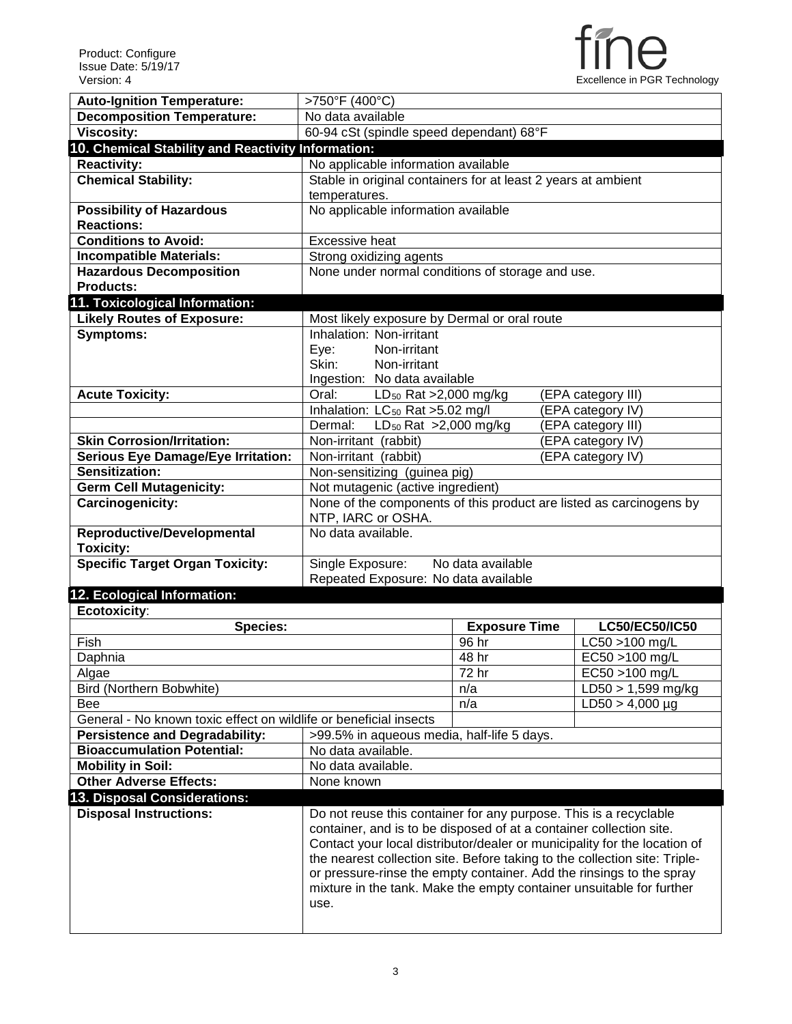

| <b>Auto-Ignition Temperature:</b>                                 | >750°F (400°C)                                                             |                      |                      |  |  |  |
|-------------------------------------------------------------------|----------------------------------------------------------------------------|----------------------|----------------------|--|--|--|
| <b>Decomposition Temperature:</b>                                 | No data available                                                          |                      |                      |  |  |  |
| <b>Viscosity:</b>                                                 | 60-94 cSt (spindle speed dependant) 68°F                                   |                      |                      |  |  |  |
| 10. Chemical Stability and Reactivity Information:                |                                                                            |                      |                      |  |  |  |
| <b>Reactivity:</b>                                                | No applicable information available                                        |                      |                      |  |  |  |
| <b>Chemical Stability:</b>                                        | Stable in original containers for at least 2 years at ambient              |                      |                      |  |  |  |
|                                                                   | temperatures.                                                              |                      |                      |  |  |  |
| <b>Possibility of Hazardous</b>                                   | No applicable information available                                        |                      |                      |  |  |  |
| <b>Reactions:</b>                                                 |                                                                            |                      |                      |  |  |  |
| <b>Conditions to Avoid:</b>                                       | <b>Excessive heat</b>                                                      |                      |                      |  |  |  |
| <b>Incompatible Materials:</b>                                    | Strong oxidizing agents                                                    |                      |                      |  |  |  |
| <b>Hazardous Decomposition</b>                                    | None under normal conditions of storage and use.                           |                      |                      |  |  |  |
| <b>Products:</b>                                                  |                                                                            |                      |                      |  |  |  |
| 11. Toxicological Information:                                    |                                                                            |                      |                      |  |  |  |
| <b>Likely Routes of Exposure:</b>                                 | Most likely exposure by Dermal or oral route                               |                      |                      |  |  |  |
| Symptoms:                                                         | Inhalation: Non-irritant                                                   |                      |                      |  |  |  |
|                                                                   | Non-irritant<br>Eye:                                                       |                      |                      |  |  |  |
|                                                                   | Skin:<br>Non-irritant                                                      |                      |                      |  |  |  |
|                                                                   | Ingestion: No data available                                               |                      |                      |  |  |  |
| <b>Acute Toxicity:</b>                                            | Oral:<br>LD <sub>50</sub> Rat >2,000 mg/kg                                 |                      | (EPA category III)   |  |  |  |
|                                                                   | Inhalation: LC <sub>50</sub> Rat >5.02 mg/l                                |                      | (EPA category IV)    |  |  |  |
|                                                                   | LD <sub>50</sub> Rat >2,000 mg/kg<br>Dermal:                               |                      | (EPA category III)   |  |  |  |
| <b>Skin Corrosion/Irritation:</b>                                 | Non-irritant (rabbit)                                                      | (EPA category IV)    |                      |  |  |  |
| <b>Serious Eye Damage/Eye Irritation:</b>                         | Non-irritant (rabbit)                                                      |                      | (EPA category IV)    |  |  |  |
| Sensitization:                                                    | Non-sensitizing (guinea pig)                                               |                      |                      |  |  |  |
| <b>Germ Cell Mutagenicity:</b>                                    | Not mutagenic (active ingredient)                                          |                      |                      |  |  |  |
| Carcinogenicity:                                                  | None of the components of this product are listed as carcinogens by        |                      |                      |  |  |  |
|                                                                   | NTP, IARC or OSHA.                                                         |                      |                      |  |  |  |
| <b>Reproductive/Developmental</b>                                 | No data available.                                                         |                      |                      |  |  |  |
|                                                                   |                                                                            |                      |                      |  |  |  |
|                                                                   |                                                                            |                      |                      |  |  |  |
| <b>Toxicity:</b>                                                  |                                                                            | No data available    |                      |  |  |  |
| <b>Specific Target Organ Toxicity:</b>                            | Single Exposure:                                                           |                      |                      |  |  |  |
|                                                                   | Repeated Exposure: No data available                                       |                      |                      |  |  |  |
| 12. Ecological Information:                                       |                                                                            |                      |                      |  |  |  |
| Ecotoxicity:                                                      |                                                                            |                      |                      |  |  |  |
| <b>Species:</b><br>Fish                                           |                                                                            | <b>Exposure Time</b> | LC50/EC50/IC50       |  |  |  |
|                                                                   |                                                                            | 96 hr                | LC50 >100 mg/L       |  |  |  |
| Daphnia                                                           |                                                                            | 48 hr                | EC50 >100 mg/L       |  |  |  |
| Algae                                                             |                                                                            | 72 <sub>hr</sub>     | EC50 >100 mg/L       |  |  |  |
| Bird (Northern Bobwhite)                                          |                                                                            | n/a                  | $LD50 > 1,599$ mg/kg |  |  |  |
| <b>Bee</b>                                                        |                                                                            | n/a                  | $LD50 > 4,000 \mu g$ |  |  |  |
| General - No known toxic effect on wildlife or beneficial insects |                                                                            |                      |                      |  |  |  |
| <b>Persistence and Degradability:</b>                             | >99.5% in aqueous media, half-life 5 days.                                 |                      |                      |  |  |  |
| <b>Bioaccumulation Potential:</b>                                 | No data available.                                                         |                      |                      |  |  |  |
| <b>Mobility in Soil:</b>                                          | No data available.                                                         |                      |                      |  |  |  |
| <b>Other Adverse Effects:</b>                                     | None known                                                                 |                      |                      |  |  |  |
| 13. Disposal Considerations:                                      |                                                                            |                      |                      |  |  |  |
| <b>Disposal Instructions:</b>                                     | Do not reuse this container for any purpose. This is a recyclable          |                      |                      |  |  |  |
|                                                                   | container, and is to be disposed of at a container collection site.        |                      |                      |  |  |  |
|                                                                   | Contact your local distributor/dealer or municipality for the location of  |                      |                      |  |  |  |
|                                                                   | the nearest collection site. Before taking to the collection site: Triple- |                      |                      |  |  |  |
|                                                                   | or pressure-rinse the empty container. Add the rinsings to the spray       |                      |                      |  |  |  |
|                                                                   | mixture in the tank. Make the empty container unsuitable for further       |                      |                      |  |  |  |
|                                                                   | use.                                                                       |                      |                      |  |  |  |